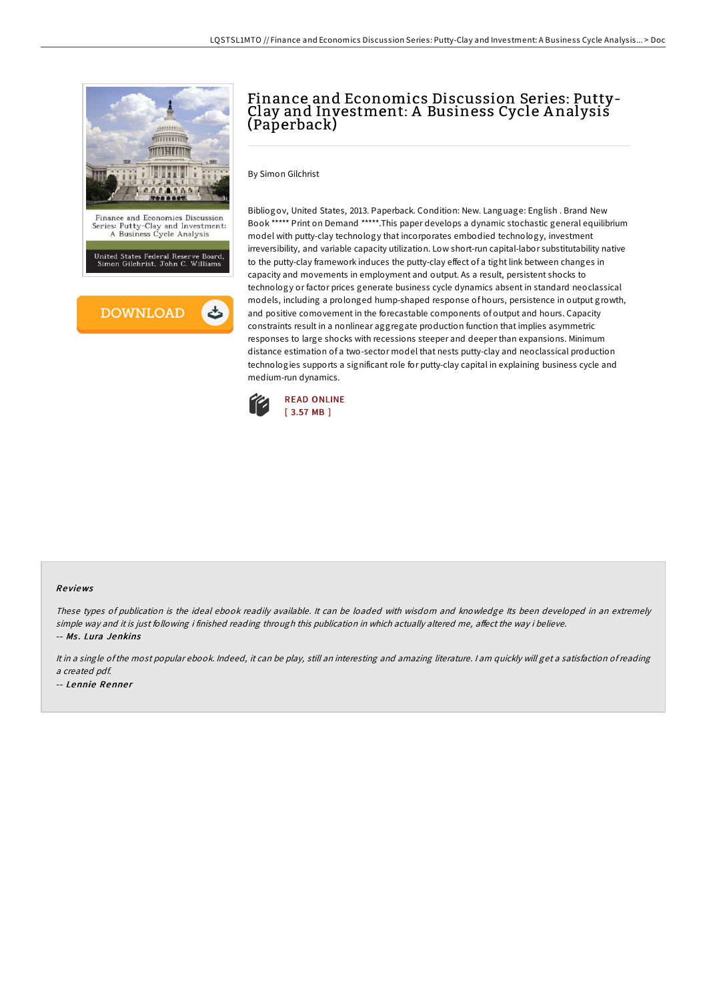

# Finance and Economics Discussion Series: Putty-Clay and Investment: A Business Cycle A nalysis (Paperback)

By Simon Gilchrist

Bibliogov, United States, 2013. Paperback. Condition: New. Language: English . Brand New Book \*\*\*\*\* Print on Demand \*\*\*\*\*.This paper develops a dynamic stochastic general equilibrium model with putty-clay technology that incorporates embodied technology, investment irreversibility, and variable capacity utilization. Low short-run capital-labor substitutability native to the putty-clay framework induces the putty-clay effect of a tight link between changes in capacity and movements in employment and output. As a result, persistent shocks to technology or factor prices generate business cycle dynamics absent in standard neoclassical models, including a prolonged hump-shaped response of hours, persistence in output growth, and positive comovement in the forecastable components of output and hours. Capacity constraints result in a nonlinear aggregate production function that implies asymmetric responses to large shocks with recessions steeper and deeper than expansions. Minimum distance estimation of a two-sector model that nests putty-clay and neoclassical production technologies supports a significant role for putty-clay capital in explaining business cycle and medium-run dynamics.



#### Re views

These types of publication is the ideal ebook readily available. It can be loaded with wisdom and knowledge Its been developed in an extremely simple way and it is just following i finished reading through this publication in which actually altered me, affect the way i believe. -- Ms. Lura Jenkins

It in <sup>a</sup> single ofthe most popular ebook. Indeed, it can be play, still an interesting and amazing literature. <sup>I</sup> am quickly will get <sup>a</sup> satisfaction ofreading <sup>a</sup> created pdf. -- Lennie Renner